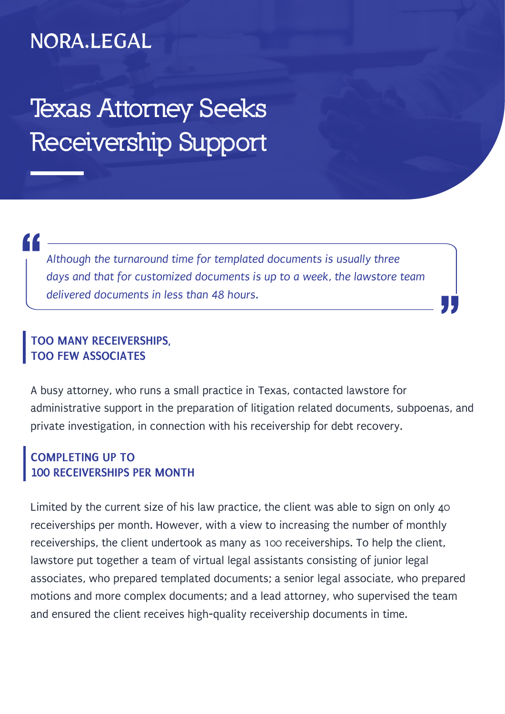## NORA.LEGAL

**Texas Attorney Seeks Receivership Support**

" *Although the turnaround time for templated documents is usually three days and that for customized documents is up to a week, the lawstore team delivered documents in less than 48 hours.*

## **TOO MANY RECEIVERSHIPS, TOO FEW ASSOCIATES**

A busy attorney, who runs a small practice in Texas, contacted lawstore for administrative support in the preparation of litigation related documents, subpoenas, and private investigation, in connection with his receivership for debt recovery.

"

## **COMPLETING UP TO 100 RECEIVERSHIPS PER MONTH**

Limited by the current size of his law practice, the client was able to sign on only 40 receiverships per month. However, with a view to increasing the number of monthly receiverships, the client undertook as many as 100 receiverships. To help the client, lawstore put together a team of virtual legal assistants consisting of junior legal associates, who prepared templated documents; a senior legal associate, who prepared motions and more complex documents; and a lead attorney, who supervised the team and ensured the client receives high-quality receivership documents in time.